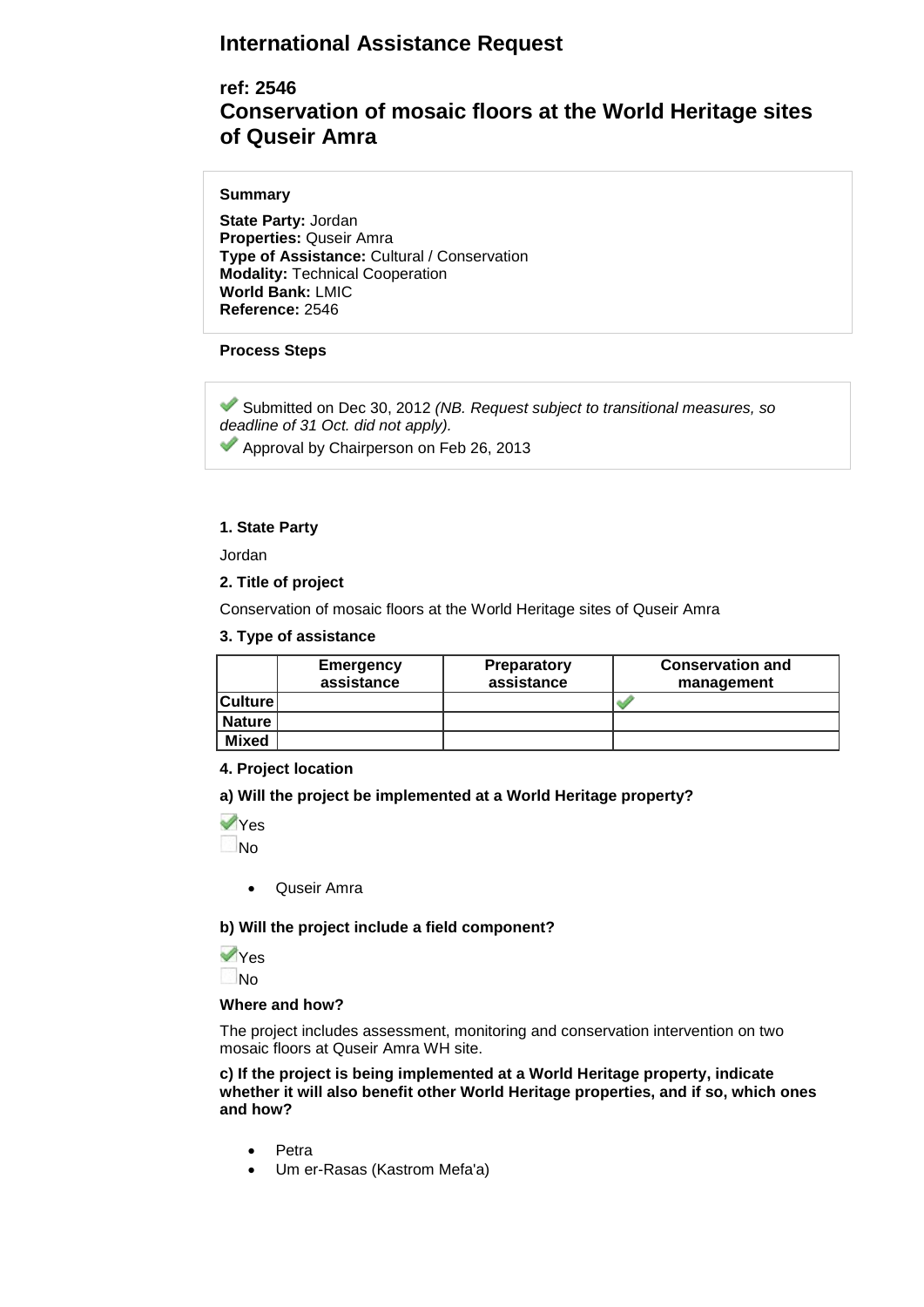# **International Assistance Request**

# **ref: 2546 Conservation of mosaic floors at the World Heritage sites of Quseir Amra**

## **Summary**

**State Party:** Jordan **Properties:** Quseir Amra **Type of Assistance:** Cultural / Conservation **Modality:** Technical Cooperation **World Bank:** LMIC **Reference:** 2546

# **Process Steps**

Submitted on Dec 30, 2012 *(NB. Request subject to transitional measures, so deadline of 31 Oct. did not apply).*

Approval by Chairperson on Feb 26, 2013

# **1. State Party**

Jordan

## **2. Title of project**

Conservation of mosaic floors at the World Heritage sites of Quseir Amra

## **3. Type of assistance**

|                | Emergency<br>assistance | <b>Preparatory</b><br>assistance | <b>Conservation and</b><br>management |
|----------------|-------------------------|----------------------------------|---------------------------------------|
| <b>Culture</b> |                         |                                  |                                       |
| <b>Nature</b>  |                         |                                  |                                       |
| <b>Mixed</b>   |                         |                                  |                                       |

# **4. Project location**

**a) Will the project be implemented at a World Heritage property?** 

Yes No

• Quseir Amra

## **b) Will the project include a field component?**

Yes No

## **Where and how?**

The project includes assessment, monitoring and conservation intervention on two mosaic floors at Quseir Amra WH site.

**c) If the project is being implemented at a World Heritage property, indicate whether it will also benefit other World Heritage properties, and if so, which ones and how?** 

- Petra
- Um er-Rasas (Kastrom Mefa'a)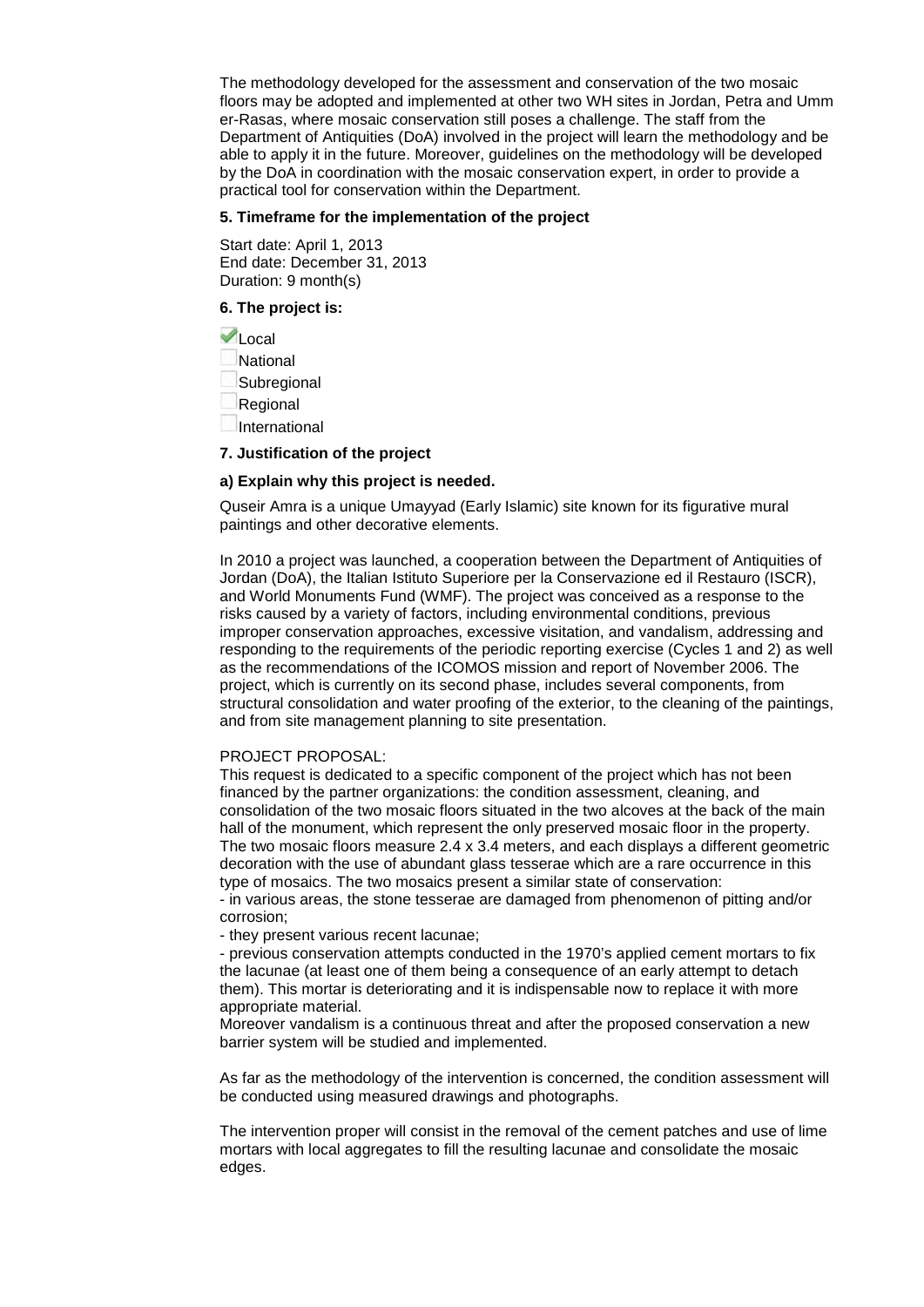The methodology developed for the assessment and conservation of the two mosaic floors may be adopted and implemented at other two WH sites in Jordan, Petra and Umm er-Rasas, where mosaic conservation still poses a challenge. The staff from the Department of Antiquities (DoA) involved in the project will learn the methodology and be able to apply it in the future. Moreover, guidelines on the methodology will be developed by the DoA in coordination with the mosaic conservation expert, in order to provide a practical tool for conservation within the Department.

## **5. Timeframe for the implementation of the project**

Start date: April 1, 2013 End date: December 31, 2013 Duration: 9 month(s)

# **6. The project is:**

**VLocal** National Subregional Regional International

## **7. Justification of the project**

## **a) Explain why this project is needed.**

Quseir Amra is a unique Umayyad (Early Islamic) site known for its figurative mural paintings and other decorative elements.

In 2010 a project was launched, a cooperation between the Department of Antiquities of Jordan (DoA), the Italian Istituto Superiore per la Conservazione ed il Restauro (ISCR), and World Monuments Fund (WMF). The project was conceived as a response to the risks caused by a variety of factors, including environmental conditions, previous improper conservation approaches, excessive visitation, and vandalism, addressing and responding to the requirements of the periodic reporting exercise (Cycles 1 and 2) as well as the recommendations of the ICOMOS mission and report of November 2006. The project, which is currently on its second phase, includes several components, from structural consolidation and water proofing of the exterior, to the cleaning of the paintings, and from site management planning to site presentation.

## PROJECT PROPOSAL:

This request is dedicated to a specific component of the project which has not been financed by the partner organizations: the condition assessment, cleaning, and consolidation of the two mosaic floors situated in the two alcoves at the back of the main hall of the monument, which represent the only preserved mosaic floor in the property. The two mosaic floors measure 2.4 x 3.4 meters, and each displays a different geometric decoration with the use of abundant glass tesserae which are a rare occurrence in this type of mosaics. The two mosaics present a similar state of conservation:

- in various areas, the stone tesserae are damaged from phenomenon of pitting and/or corrosion;

- they present various recent lacunae;

- previous conservation attempts conducted in the 1970's applied cement mortars to fix the lacunae (at least one of them being a consequence of an early attempt to detach them). This mortar is deteriorating and it is indispensable now to replace it with more appropriate material.

Moreover vandalism is a continuous threat and after the proposed conservation a new barrier system will be studied and implemented.

As far as the methodology of the intervention is concerned, the condition assessment will be conducted using measured drawings and photographs.

The intervention proper will consist in the removal of the cement patches and use of lime mortars with local aggregates to fill the resulting lacunae and consolidate the mosaic edges.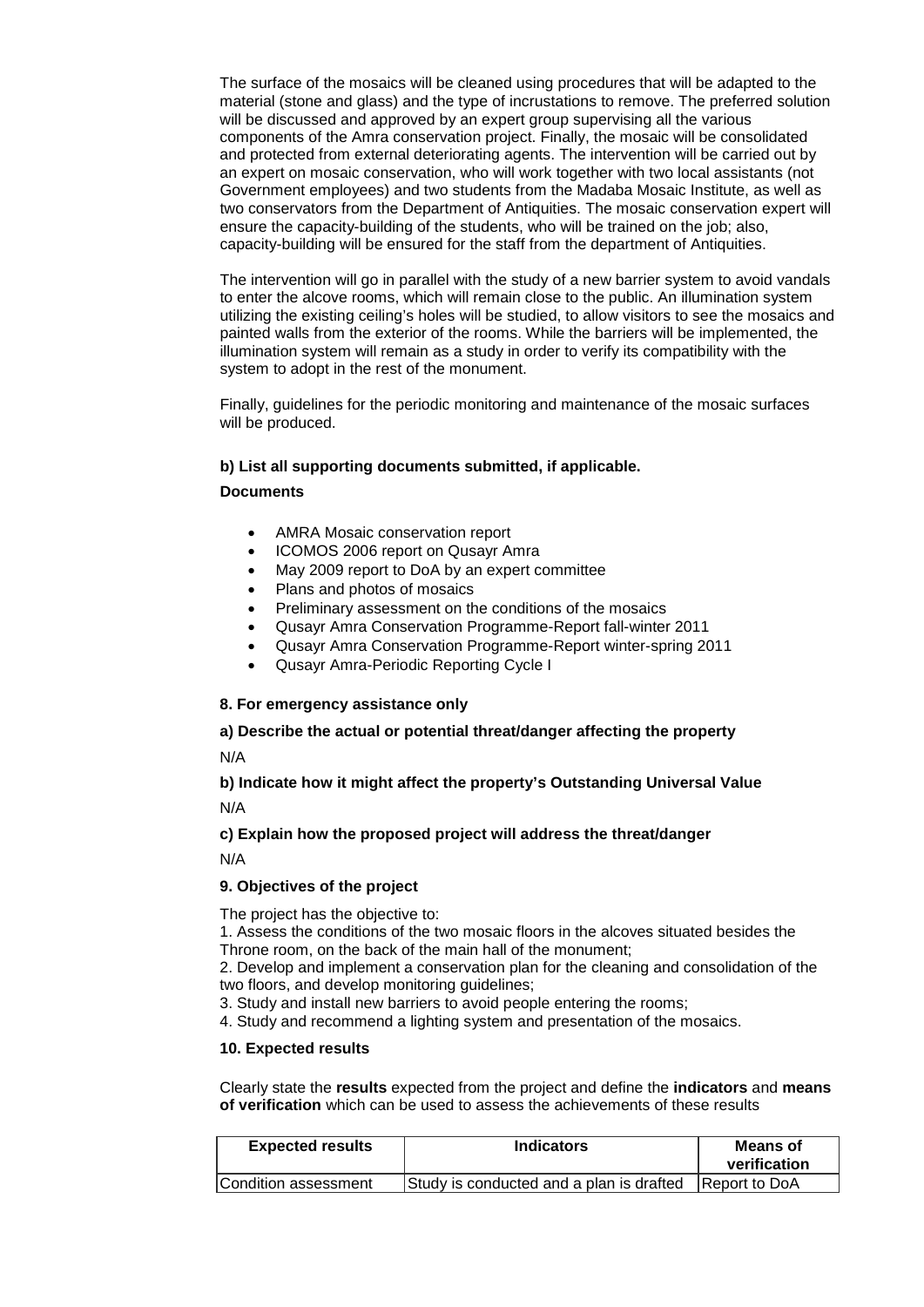The surface of the mosaics will be cleaned using procedures that will be adapted to the material (stone and glass) and the type of incrustations to remove. The preferred solution will be discussed and approved by an expert group supervising all the various components of the Amra conservation project. Finally, the mosaic will be consolidated and protected from external deteriorating agents. The intervention will be carried out by an expert on mosaic conservation, who will work together with two local assistants (not Government employees) and two students from the Madaba Mosaic Institute, as well as two conservators from the Department of Antiquities. The mosaic conservation expert will ensure the capacity-building of the students, who will be trained on the job; also, capacity-building will be ensured for the staff from the department of Antiquities.

The intervention will go in parallel with the study of a new barrier system to avoid vandals to enter the alcove rooms, which will remain close to the public. An illumination system utilizing the existing ceiling's holes will be studied, to allow visitors to see the mosaics and painted walls from the exterior of the rooms. While the barriers will be implemented, the illumination system will remain as a study in order to verify its compatibility with the system to adopt in the rest of the monument.

Finally, guidelines for the periodic monitoring and maintenance of the mosaic surfaces will be produced.

# **b) List all supporting documents submitted, if applicable.**

## **Documents**

- AMRA Mosaic conservation report
- ICOMOS 2006 report on Qusayr Amra
- May 2009 report to DoA by an expert committee
- Plans and photos of mosaics
- Preliminary assessment on the conditions of the mosaics
- Qusayr Amra Conservation Programme-Report fall-winter 2011
- Qusayr Amra Conservation Programme-Report winter-spring 2011
- Qusayr Amra-Periodic Reporting Cycle I

## **8. For emergency assistance only**

# **a) Describe the actual or potential threat/danger affecting the property**

N/A

# **b) Indicate how it might affect the property's Outstanding Universal Value**

N/A

# **c) Explain how the proposed project will address the threat/danger**

N/A

## **9. Objectives of the project**

The project has the objective to:

1. Assess the conditions of the two mosaic floors in the alcoves situated besides the Throne room, on the back of the main hall of the monument;

2. Develop and implement a conservation plan for the cleaning and consolidation of the two floors, and develop monitoring guidelines;

3. Study and install new barriers to avoid people entering the rooms;

4. Study and recommend a lighting system and presentation of the mosaics.

## **10. Expected results**

Clearly state the **results** expected from the project and define the **indicators** and **means of verification** which can be used to assess the achievements of these results

| <b>Expected results</b> | <b>Indicators</b>                        | Means of<br>verification |  |
|-------------------------|------------------------------------------|--------------------------|--|
| Condition assessment    | Study is conducted and a plan is drafted | <b>Report to DoA</b>     |  |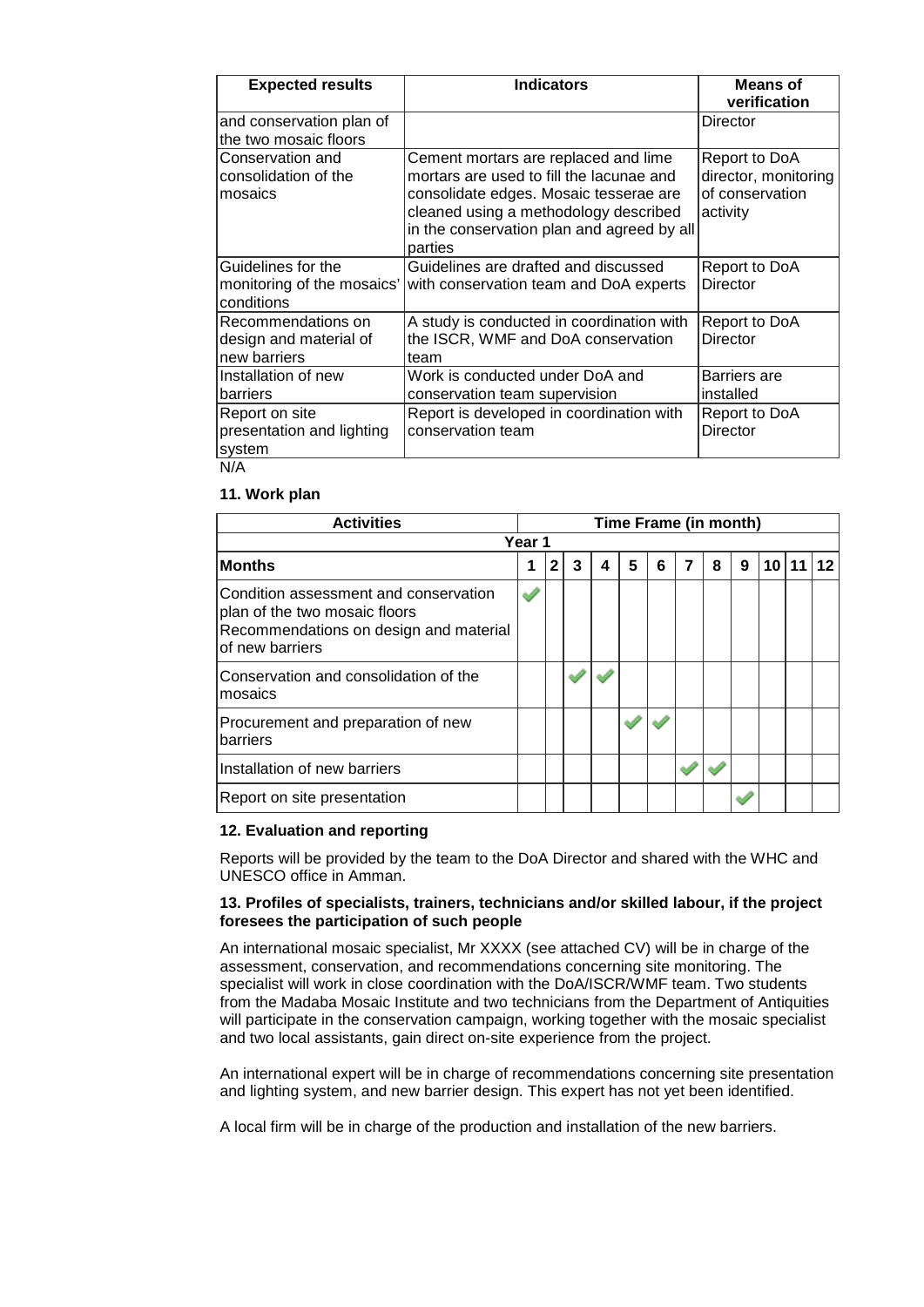| <b>Expected results</b>                                         | <b>Indicators</b>                                                                                                                                                                                                            | <b>Means of</b><br>verification                                      |
|-----------------------------------------------------------------|------------------------------------------------------------------------------------------------------------------------------------------------------------------------------------------------------------------------------|----------------------------------------------------------------------|
| and conservation plan of<br>the two mosaic floors               |                                                                                                                                                                                                                              | Director                                                             |
| Conservation and<br>consolidation of the<br>Imosaics            | Cement mortars are replaced and lime<br>mortars are used to fill the lacunae and<br>consolidate edges. Mosaic tesserae are<br>cleaned using a methodology described<br>in the conservation plan and agreed by all<br>parties | Report to DoA<br>director, monitoring<br>of conservation<br>activity |
| Guidelines for the<br>monitoring of the mosaics'<br>lconditions | Guidelines are drafted and discussed<br>with conservation team and DoA experts                                                                                                                                               | Report to DoA<br>Director                                            |
| Recommendations on<br>design and material of<br>Inew barriers   | A study is conducted in coordination with<br>the ISCR, WMF and DoA conservation<br>team                                                                                                                                      | Report to DoA<br>Director                                            |
| Installation of new<br>Ibarriers                                | Work is conducted under DoA and<br>conservation team supervision                                                                                                                                                             | Barriers are<br>installed                                            |
| Report on site<br>presentation and lighting<br>system<br>N/A    | Report is developed in coordination with<br>conservation team                                                                                                                                                                | Report to DoA<br>Director                                            |

## **11. Work plan**

| <b>Activities</b>                                                                                                                   |  | Time Frame (in month) |   |   |   |   |   |   |   |    |  |  |
|-------------------------------------------------------------------------------------------------------------------------------------|--|-----------------------|---|---|---|---|---|---|---|----|--|--|
| Year 1                                                                                                                              |  |                       |   |   |   |   |   |   |   |    |  |  |
| Months                                                                                                                              |  | 2                     | 3 | 4 | 5 | 6 | 7 | 8 | 9 | 10 |  |  |
| Condition assessment and conservation<br>plan of the two mosaic floors<br>Recommendations on design and material<br>of new barriers |  |                       |   |   |   |   |   |   |   |    |  |  |
| Conservation and consolidation of the<br>mosaics                                                                                    |  |                       |   |   |   |   |   |   |   |    |  |  |
| Procurement and preparation of new<br>barriers                                                                                      |  |                       |   |   |   |   |   |   |   |    |  |  |
| Installation of new barriers                                                                                                        |  |                       |   |   |   |   |   |   |   |    |  |  |
| Report on site presentation                                                                                                         |  |                       |   |   |   |   |   |   |   |    |  |  |

## **12. Evaluation and reporting**

Reports will be provided by the team to the DoA Director and shared with the WHC and UNESCO office in Amman.

## **13. Profiles of specialists, trainers, technicians and/or skilled labour, if the project foresees the participation of such people**

An international mosaic specialist, Mr XXXX (see attached CV) will be in charge of the assessment, conservation, and recommendations concerning site monitoring. The specialist will work in close coordination with the DoA/ISCR/WMF team. Two students from the Madaba Mosaic Institute and two technicians from the Department of Antiquities will participate in the conservation campaign, working together with the mosaic specialist and two local assistants, gain direct on-site experience from the project.

An international expert will be in charge of recommendations concerning site presentation and lighting system, and new barrier design. This expert has not yet been identified.

A local firm will be in charge of the production and installation of the new barriers.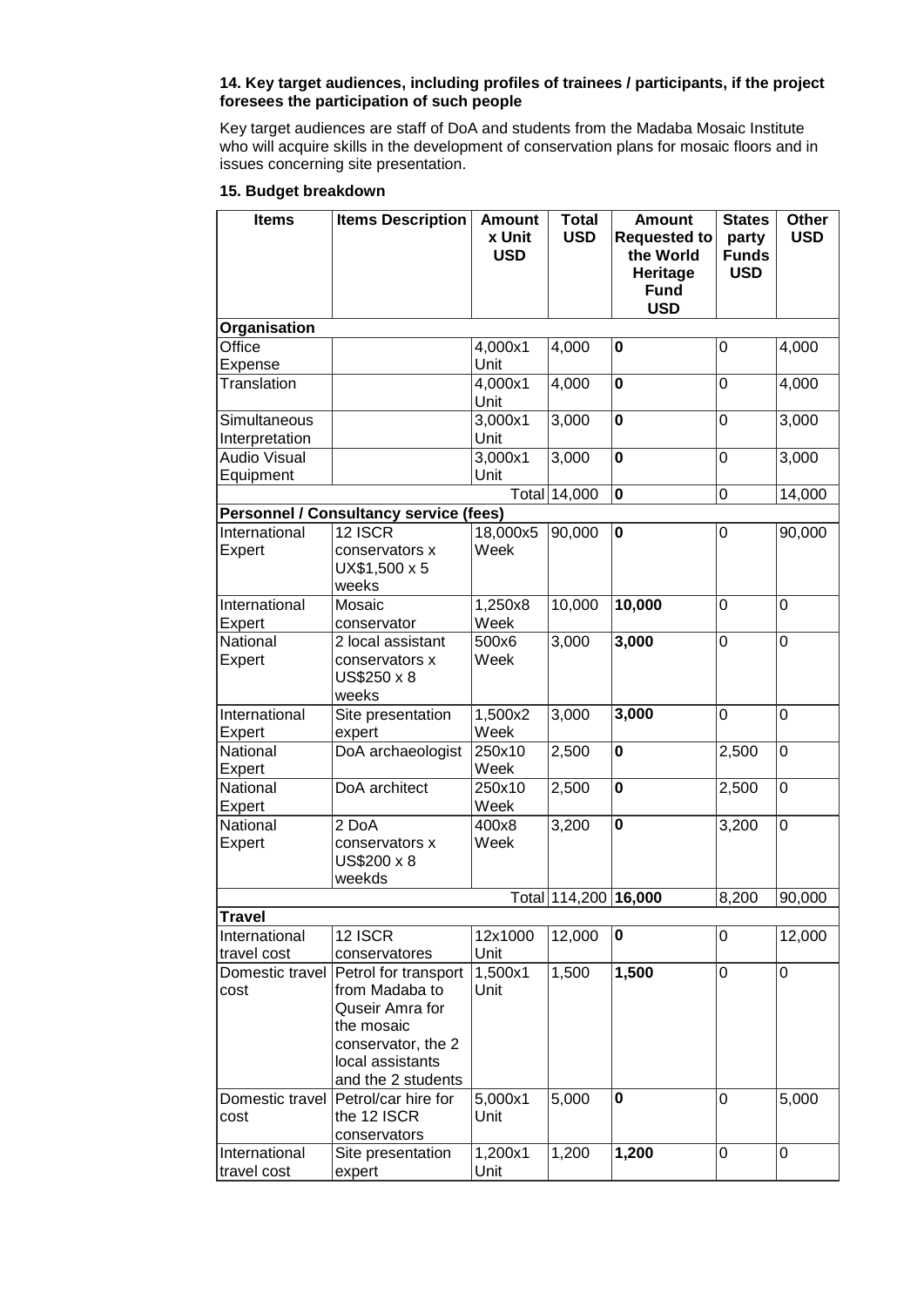# **14. Key target audiences, including profiles of trainees / participants, if the project foresees the participation of such people**

Key target audiences are staff of DoA and students from the Madaba Mosaic Institute who will acquire skills in the development of conservation plans for mosaic floors and in issues concerning site presentation.

## **15. Budget breakdown**

| <b>Items</b>        | <b>Items Description</b>                      | <b>Amount</b>        | <b>Total</b>         | <b>Amount</b>                    | <b>States</b>         | Other      |  |
|---------------------|-----------------------------------------------|----------------------|----------------------|----------------------------------|-----------------------|------------|--|
|                     |                                               | x Unit<br><b>USD</b> | <b>USD</b>           | <b>Requested to</b><br>the World | party<br><b>Funds</b> | <b>USD</b> |  |
|                     |                                               |                      |                      | Heritage                         | <b>USD</b>            |            |  |
|                     |                                               |                      |                      | <b>Fund</b>                      |                       |            |  |
|                     |                                               |                      |                      | <b>USD</b>                       |                       |            |  |
| Organisation        |                                               |                      |                      |                                  |                       |            |  |
| Office              |                                               | 4,000x1              | 4,000                | 0                                | 0                     | 4,000      |  |
| Expense             |                                               | Unit                 |                      |                                  |                       |            |  |
| <b>Translation</b>  |                                               | 4,000x1<br>Unit      | 4,000                | $\bf{0}$                         | 0                     | 4,000      |  |
| Simultaneous        |                                               | 3,000x1              | 3,000                | $\mathbf 0$                      | $\overline{0}$        | 3,000      |  |
| Interpretation      |                                               | Unit                 |                      |                                  |                       |            |  |
| <b>Audio Visual</b> |                                               | 3,000x1              | 3,000                | 0                                | 0                     | 3,000      |  |
| Equipment           |                                               | Unit                 |                      |                                  |                       |            |  |
|                     |                                               |                      | Total 14,000         | $\bf{0}$                         | 0                     | 14,000     |  |
|                     | <b>Personnel / Consultancy service (fees)</b> |                      |                      |                                  |                       |            |  |
| International       | 12 ISCR                                       | 18,000x5             | 90,000               | $\bf{0}$                         | 0                     | 90,000     |  |
| Expert              | conservators x                                | Week                 |                      |                                  |                       |            |  |
|                     | UX\$1,500 x 5                                 |                      |                      |                                  |                       |            |  |
|                     | weeks                                         |                      |                      |                                  |                       |            |  |
| International       | Mosaic                                        | 1,250x8              | 10,000               | 10,000                           | $\overline{0}$        | 0          |  |
| Expert              | conservator                                   | Week                 |                      |                                  |                       |            |  |
| National            | 2 local assistant                             | 500x6                | 3,000                | 3,000                            | 0                     | 0          |  |
| Expert              | conservators x                                | Week                 |                      |                                  |                       |            |  |
|                     | US\$250 x 8                                   |                      |                      |                                  |                       |            |  |
|                     | weeks                                         |                      |                      |                                  |                       |            |  |
| International       | Site presentation                             | 1,500x2              | 3,000                | 3,000                            | $\overline{0}$        | 0          |  |
| Expert              | expert                                        | Week                 |                      |                                  |                       |            |  |
| National            | DoA archaeologist                             | 250x10               | 2,500                | $\bf{0}$                         | 2,500                 | 0          |  |
| Expert              |                                               | Week                 |                      |                                  |                       |            |  |
| National            | DoA architect                                 | 250x10               | 2,500                | $\mathbf 0$                      | 2,500                 | 0          |  |
| Expert              |                                               | Week                 |                      |                                  |                       |            |  |
| National            | $2$ DoA                                       | 400x8                | 3,200                | $\mathbf 0$                      | 3,200                 | 0          |  |
| Expert              | conservators x                                | Week                 |                      |                                  |                       |            |  |
|                     | US\$200 x 8<br>weekds                         |                      |                      |                                  |                       |            |  |
|                     |                                               |                      | Total 114,200 16,000 |                                  | 8,200                 | 90,000     |  |
| <b>Travel</b>       |                                               |                      |                      |                                  |                       |            |  |
| International       | 12 ISCR                                       | 12x1000              | 12,000               | 0                                | 0                     | 12,000     |  |
| travel cost         | conservatores                                 | Unit                 |                      |                                  |                       |            |  |
|                     | Domestic travel Petrol for transport          | 1,500x1              | 1,500                | 1,500                            | 0                     | 0          |  |
| cost                | from Madaba to                                | Unit                 |                      |                                  |                       |            |  |
|                     | Quseir Amra for                               |                      |                      |                                  |                       |            |  |
|                     | the mosaic                                    |                      |                      |                                  |                       |            |  |
|                     | conservator, the 2                            |                      |                      |                                  |                       |            |  |
|                     | local assistants                              |                      |                      |                                  |                       |            |  |
|                     | and the 2 students                            |                      |                      |                                  |                       |            |  |
|                     | Domestic travel Petrol/car hire for           | 5,000x1              | 5,000                | $\mathbf 0$                      | 0                     | 5,000      |  |
| cost                | the 12 ISCR                                   | Unit                 |                      |                                  |                       |            |  |
|                     | conservators                                  |                      |                      |                                  |                       |            |  |
| International       | Site presentation                             | 1,200x1              | 1,200                | 1,200                            | 0                     | 0          |  |
| travel cost         | expert                                        | Unit                 |                      |                                  |                       |            |  |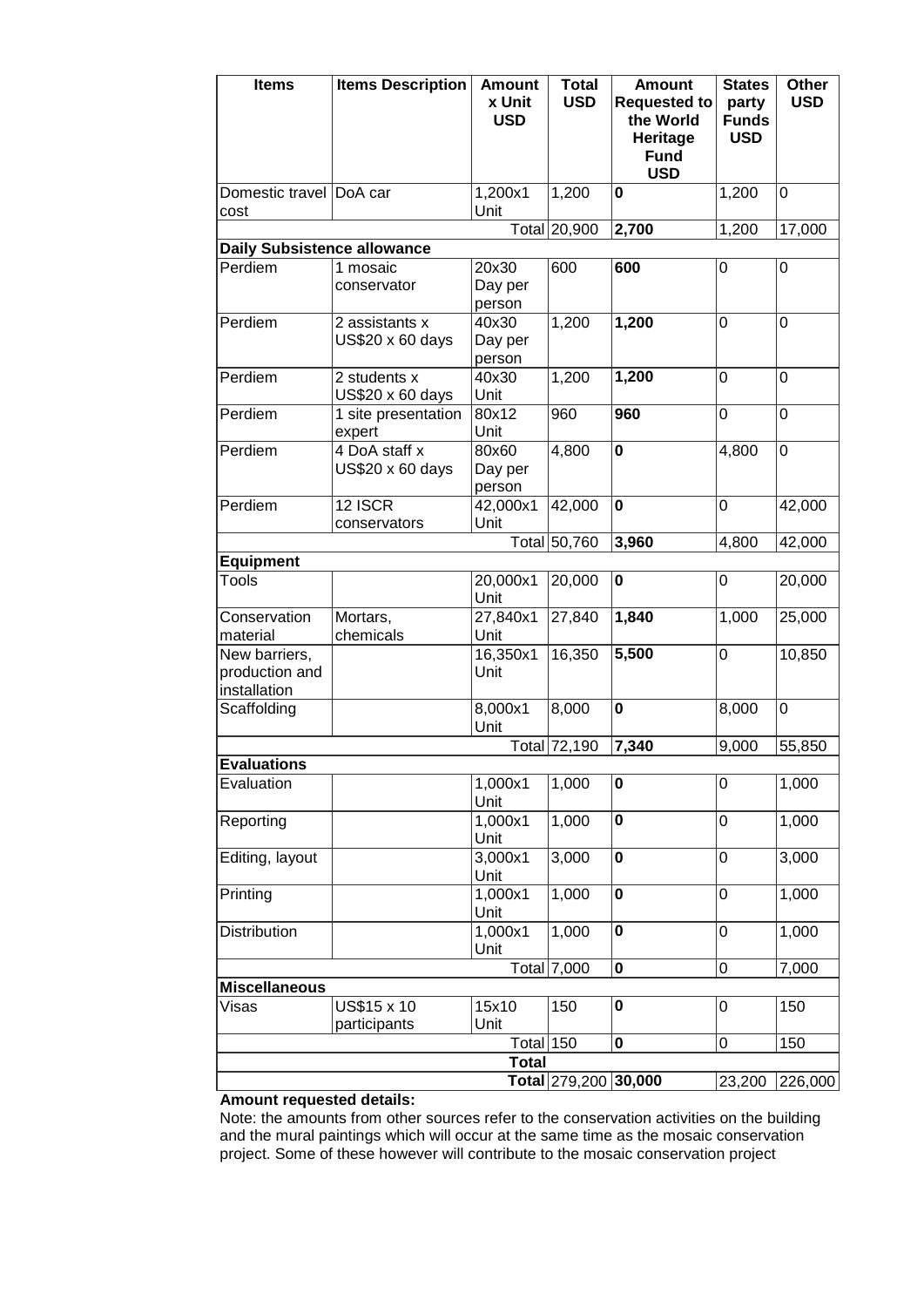| <b>Items</b>                                    | <b>Items Description</b>           | <b>Amount</b><br>x Unit<br><b>USD</b> | <b>Total</b><br><b>USD</b> | <b>Amount</b><br><b>Requested to</b><br>the World<br>Heritage<br><b>Fund</b><br><b>USD</b> | <b>States</b><br>party<br><b>Funds</b><br><b>USD</b> | Other<br><b>USD</b> |
|-------------------------------------------------|------------------------------------|---------------------------------------|----------------------------|--------------------------------------------------------------------------------------------|------------------------------------------------------|---------------------|
| Domestic travel DoA car<br>cost                 |                                    | 1,200x1<br>Unit                       | 1,200                      | 0                                                                                          | 1,200                                                | 0                   |
|                                                 |                                    |                                       | Total 20,900               | 2,700                                                                                      | 1,200                                                | 17,000              |
| <b>Daily Subsistence allowance</b>              |                                    |                                       |                            |                                                                                            |                                                      |                     |
| Perdiem                                         | 1 mosaic<br>conservator            | 20x30<br>Day per<br>person            | 600                        | 600                                                                                        | $\mathbf 0$                                          | 0                   |
| Perdiem                                         | 2 assistants x<br>US\$20 x 60 days | 40x30<br>Day per<br>person            | 1,200                      | 1,200                                                                                      | 0                                                    | 0                   |
| Perdiem                                         | 2 students x<br>US\$20 x 60 days   | 40x30<br>Unit                         | 1,200                      | 1,200                                                                                      | 0                                                    | 0                   |
| Perdiem                                         | 1 site presentation<br>expert      | 80x12<br>Unit                         | 960                        | 960                                                                                        | 0                                                    | 0                   |
| Perdiem                                         | 4 DoA staff x<br>US\$20 x 60 days  | 80x60<br>Day per<br>person            | 4,800                      | $\pmb{0}$                                                                                  | 4,800                                                | $\mathbf 0$         |
| Perdiem                                         | 12 ISCR<br>conservators            | 42,000x1<br>Unit                      | 42,000                     | $\mathbf 0$                                                                                | 0                                                    | 42,000              |
|                                                 |                                    |                                       | Total 50,760               | 3,960                                                                                      | 4,800                                                | 42,000              |
| <b>Equipment</b>                                |                                    |                                       |                            |                                                                                            |                                                      |                     |
| <b>Tools</b>                                    |                                    | 20,000x1<br>Unit                      | 20,000                     | $\pmb{0}$                                                                                  | 0                                                    | 20,000              |
| Conservation<br>material                        | Mortars,<br>chemicals              | 27,840x1<br>Unit                      | 27,840                     | 1,840                                                                                      | 1,000                                                | 25,000              |
| New barriers,<br>production and<br>installation |                                    | 16,350x1<br>Unit                      | 16,350                     | 5,500                                                                                      | 0                                                    | 10,850              |
| Scaffolding                                     |                                    | 8,000x1<br>Unit                       | 8,000                      | $\mathbf 0$                                                                                | 8,000                                                | $\mathbf 0$         |
|                                                 |                                    |                                       | Total 72,190               | 7,340                                                                                      | 9,000                                                | 55,850              |
| <b>Evaluations</b>                              |                                    |                                       |                            |                                                                                            |                                                      |                     |
| Evaluation                                      |                                    | 1,000x1<br>Unit                       | 1,000                      | 0                                                                                          | 0                                                    | 1,000               |
| Reporting                                       |                                    | 1,000x1<br>Unit                       | 1,000                      | $\mathbf 0$                                                                                | 0                                                    | 1,000               |
| Editing, layout                                 |                                    | 3,000x1<br>Unit                       | 3,000                      | $\mathbf 0$                                                                                | 0                                                    | 3,000               |
| Printing                                        |                                    | 1,000x1<br>Unit                       | 1,000                      | 0                                                                                          | 0                                                    | 1,000               |
| Distribution                                    |                                    | 1,000x1<br>Unit                       | 1,000                      | $\mathbf 0$                                                                                | 0                                                    | 1,000               |
|                                                 |                                    |                                       | Total 7,000                | $\pmb{0}$                                                                                  | 0                                                    | 7,000               |
| <b>Miscellaneous</b>                            |                                    |                                       |                            |                                                                                            |                                                      |                     |
| Visas                                           | US\$15 x 10<br>participants        | 15x10<br>Unit                         | 150                        | 0                                                                                          | 0                                                    | 150                 |
|                                                 |                                    | Total $150$                           |                            | 0                                                                                          | 0                                                    | 150                 |
|                                                 |                                    | <b>Total</b>                          |                            |                                                                                            |                                                      |                     |
|                                                 |                                    |                                       | Total 279,200              | 30,000                                                                                     | 23,200                                               | 226,000             |

## **Amount requested details:**

Note: the amounts from other sources refer to the conservation activities on the building and the mural paintings which will occur at the same time as the mosaic conservation project. Some of these however will contribute to the mosaic conservation project